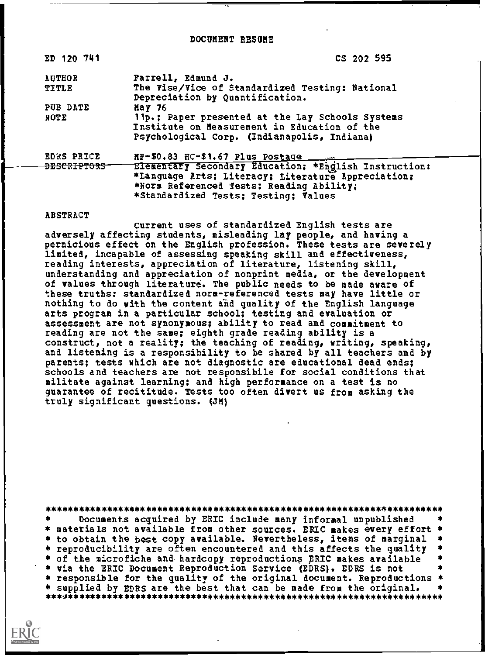DOCUMENT RESUME

| ED 120 741                                  | CS 202 595                                                                                                                                                                                                                          |
|---------------------------------------------|-------------------------------------------------------------------------------------------------------------------------------------------------------------------------------------------------------------------------------------|
| <b>AUTHOR</b><br><b>TITLE</b>               | Farrell, Edmund J.<br>The Vise/Vice of Standardized Testing: National<br>Depreciation by Quantification.                                                                                                                            |
| PUB DATE<br>NOTE                            | May $76$<br>11p.; Paper presented at the Lay Schools Systems<br>Institute on Measurement in Education of the<br>Psychological Corp. (Indianapolis, Indiana)                                                                         |
| <b>EDRS PRICE</b><br><del>DESCRIPTORS</del> | HF-\$0.83 HC-\$1.67 Plus Postage<br>Elementary Secondary Education; *English Instruction:<br>*Language Arts; Literacy; Literature Appreciation;<br>*NOTE Referenced Tests: Reading Ability;<br>*Standardized Tests; Testing; Values |

## ABSTRACT

Current uses of standardized English tests are adversely affecting students, misleading lay people, and having a pernicious effect on the English profession. These tests are severely limited, incapable of assessing speaking skill and effectiveness, reading interests, appreciation of literature, listening skill, understanding and appreciation of nonprint media, or the development of values through literature. The public needs to be made aware of these truths: standardized norm-referenced tests may have little or nothing to do with the content and quality of the English language arts program in a particular school; testing and evaluation or assessment are not synonymous; ability to read and commitment to reading are not the same; eighth grade reading ability is a construct, not a reality; the teaching of reading, writing, speaking, and listening is a responsibility to be shared by all teachers and by parents; tests which are not diagnostic are educational dead ends; schools and teachers are not responsibile for social conditions that militate against learning; and high performance on a test is no guarantee of recititude. Tests too often divert us from asking the truly significant questions. (JM)

\*\*\*\*\*\*\*\*\*\*\*\*\*\*\*\*\*\*\*\*\*\*\*\*\*\*\*\* \* Documents acquired by ERIC include many informal unpublished \*<br>\* materials not available from other sources. ERIC makes every effort \* \* to obtain the best copy available. Nevertheless, items of marginal  $\star$ \* reproducibility are often encountered and this affects the quality \* of the microfiche and hardcopy reproductions ERIC makes available  $\star$ \* via the ERIC Document Reproduction Service (EDRS). EDRS is not á. \* responsible for the quality of the original document. Reproductions \* \* supplied by EDRS are the best that can be made from the original.  $\star$ \*\*\*\*\*\*\*\*\* 

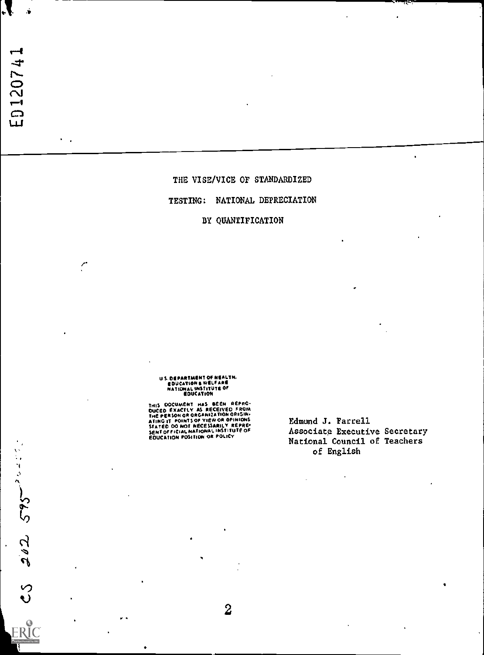$202.575$ 

 $\cdot$ 

ŗ

## THE VISE/VICE OF STANDARDIZED

## TESTING: NATIONAL DEPRECIATION

## BY QUANTIFICATION

US. DEPARTMENT OF NEALTH.<br>EDUCATION & WELFARE<br>NATIONAL INSTITUTE OF<br>EDUCATION

THIS DOCUMENT HAS BEEN REPRO-<br>DUCED EXACTLY AS RECEIVED FROM<br>THE PERSON OR ORGANIZATION ORIGIN-<br>ATING IT POINTS OF VIEW OR OPINIONS<br>STATED OO NOT NECESSARILY REPRE-<br>SENTOFFICIAL NATIONAL INSTITUTE OF<br>EQUCATION POSITION OR

Edmund J. Farrell Associate Executive Secretary National Council of Teachers of English

 $\overline{2}$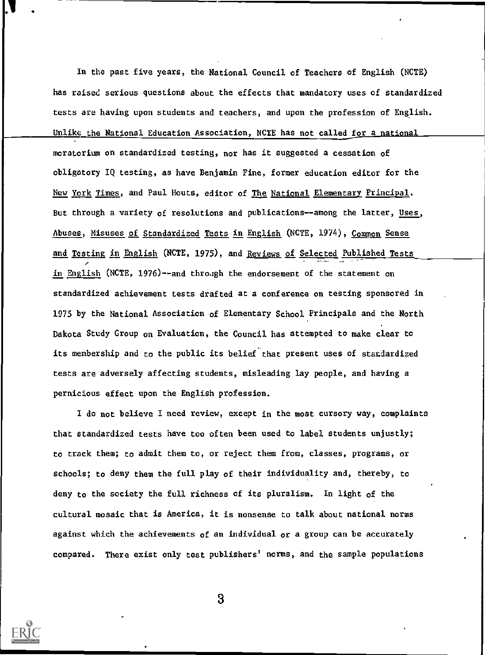In the past five years, the National Council of Teachers of English (NCTE) has raised serious questions about the effects that mandatory uses of standardized tests are having upon students and teachers, and upon the profession of English. Unlike the National Education Association, NCTE has not called for a national moratorium on standardized testing, nor has it suggested a cessation of obligatory IQ testing, as have Benjamin Fine, former education editor for the New York Times, and Paul Houts, editor of The National Elementary Principal. But through a variety of resolutions and publications--among the latter, Uses, Abuses, Misuses of Standardized Tests in English (NCTE, 1974), Common Sense and Testing in English (NCTE, 1975), and Reviews of Selected Published Tests in English (NCTE, 1976)--and through the endorsement of the statement on standardized achievement tests drafted at a conference on testing sponsored in 1975 by the National Association of Elementary School Principals and the North Dakota Study Group on Evaluation, the Council has attempted to make clear to its membership and to the public its belief that present uses of standardized tests are adversely affecting students, misleading lay people, and having a pernicious effect upon the English profession.

I do not believe I need review, except in the most cursory way, complaints that standardized tests have too often been used to label students unjustly; to track them; to admit them to, or reject them from, classes, programs, or schools; to deny them the full play of their individuality and, thereby, to deny to the society the full richness of its pluralism. In light of the cultural mosaic that is America, it is nonsense to talk about national norms against which the achievements of an individual or a group can be accurately compared. There exist only test publishers' norms, and the sample populations

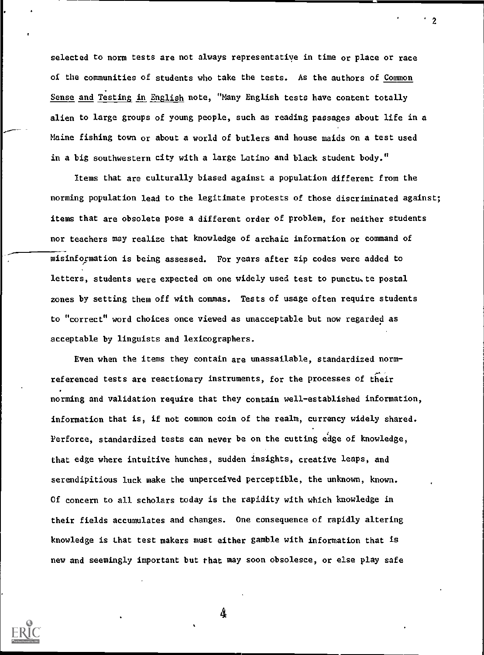selected to norm tests are not always representatiye in time or place or race of the communities of students who take the tests. As the authors of Common Sense and Testing in English note, "Many English tests have content totally alien to large groups of young people, such as reading passages about life in a Maine fishing town or about a world of butlers and house maids on a test used in a big southwestern city with a large Latino and black student body."

 $\overline{2}$ 

Items that are culturally biased against a population different from the norming population lead to the legitimate protests of those discriminated against; items that are obsolete pose a different order of problem, for neither students nor teachers may realize that knowledge of archaic information or command of misinformation is being assessed. For years after zip codes were added to letters, students were expected on one widely used test to punctu. te postal zones by setting them off with commas. Tests of usage often require students to "correct" word choices once viewed as unacceptable but now regarded as acceptable by linguists and lexicographers.

Even when the items they contain are unassailable, standardized normreferenced tests are reactionary instruments, for the processes of their norming and validation require that they contain well-established information, information that is, if not common coin of the realm, currency widely shared. Perforce, standardized tests can never be on the cutting edge of knowledge, that edge where intuitive hunches, sudden insights, creative leaps, and serendipitious luck make the unperceived perceptible, the unknown, known. Of concern to all scholars today is the rapidity with which knowledge in their fields accumulates and changes. One consequence of rapidly altering knowledge is Lhat test makers must either gamble with information that is new and seemingly important but that may soon obsolesce, or else play safe

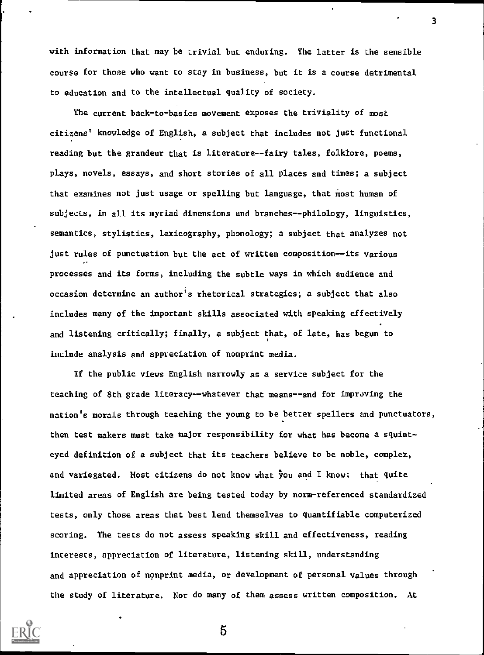with information that may be trivial but enduring. The latter is the sensible course for those who want to stay in business, but it is a course detrimental to education and to the intellectual quality of society.

The current back-to-basics movement exposes the triviality of most citizens' knowledge of English, a subject that includes not just functional reading but the grandeur that is literature--fairy tales, folklore, poems, plays, novels, essays, and short stories of all places and times; a subject that examines not just usage or spelling but language, that most human of subjects, in all its myriad dimensions and branches--philology, linguistics, semantics, stylistics, lexicography, phonology; a subject that analyzes not just rules of punctuation but the act of written composition--its various processes and its forms, including the subtle ways in which audience and occasion determine an author's rhetorical strategies; a subject that also includes many of the important skills associated with speaking effectively and listening critically; finally, a subject that, of late, has begun to include analysis and appreciation of nonprint media.

If the public views English narrowly as a service subject for the teaching of 8th grade literacy--whatever that means--and for improving the nation's morals through teaching the young to be better spellers and punctuators, then test makers must take major responsibility for what has become a squinteyed definition of a subject that its teachers believe to be noble, complex, and variegated. Most citizens do not know what You and I know: that quite limited areas of English are being tested today by norm-referenced standardized tests, only those areas that best lend themselves to quantifiable computerized scoring. The tests do not assess speaking skill and effectiveness, reading interests, appreciation of literature, listening skill, understanding and appreciation of nonprint media, or development of personal values through the study of literature. Nor do many of them assess written composition. At



5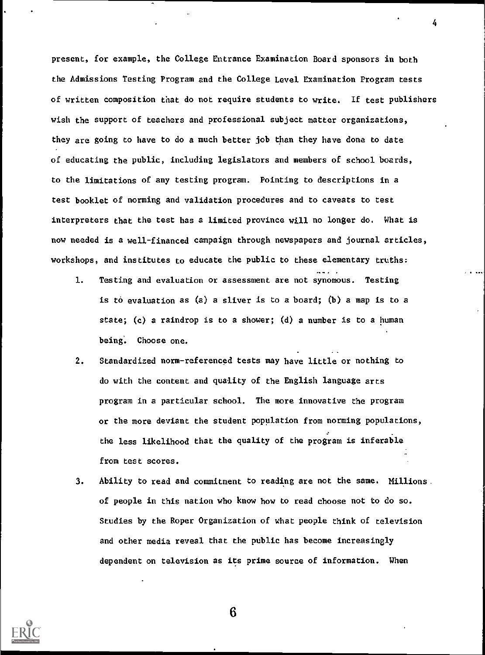present, for example, the College Entrance Examination Board sponsors in both the Admissions Testing Program and the College Level Examination Program tests of written composition that do not require students to write. If test publishers wish the support of teachers and professional subject matter organizations, they are going to have to do a much better job than they have done to date of educating the public, including legislators and members of school boards, to the limitations of any testing program. Pointing to descriptions in a test booklet of norming and validation procedures and to caveats to test interpreters that the test has a limited province will no longer do. What is now needed is a well-financed campaign through newspapers and journal articles, workshops, and institutes to educate the public to these elementary truths:

- 1. Testing and evaluation or assessment are not synomous. Testing is to evaluation as (a) a sliver is to a board; (b) a map is to a state; (c) a raindrop is to a shower; (d) a number is to a human being. Choose one.
- 2. Standardized norm-referenced tests may have little or nothing to do with the content and quality of the English language arts program in a particular school. The more innovative the program or the more deviant the student population from norming populations, the less likelihood that the quality of the program is inferable from test scores.
- 3. Ability to read and commitment to reading are not the same. Millions. of people in this nation who know how to read choose not to do so. Studies by the Roper Organization of what people think of television and other media reveal that the public has become increasingly dependent on television as its prime source of information. When



6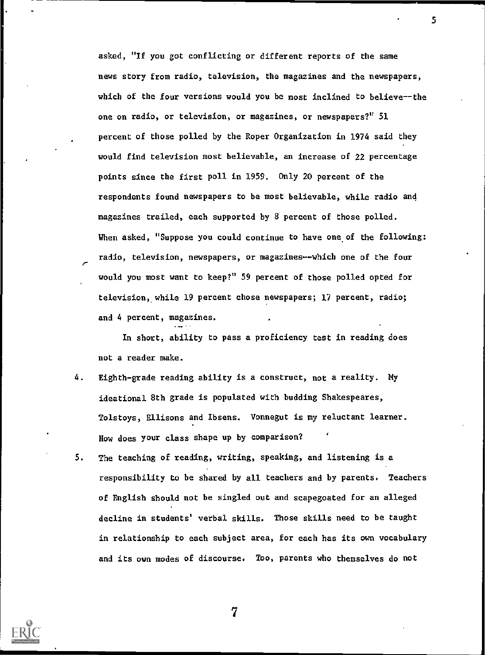asked, "If you got conflicting or different reports of the same news story from radio, television, the magazines and the newspapers, which of the four versions would you be most inclined to believe--the one on radio, or television, or magazines, or newspapers?" 51 percent of those polled by the Roper Organization in 1974 said they would find television most believable, an increase of 22 percentage points since the first poll in 1959. Only 20 percent of the respondents found newspapers to be most believable, while radio and magazines trailed, each supported by 8 percent of those polled. When asked, "Suppose you could continue to have one of the following: radio, television, newspapers, or magazines--which one of the four  $\overline{\phantom{a}}$ would you most want to keep?" 59 percent of those polled opted for television, while 19 percent chose newspapers; 17 percent, radio; and 4 percent, magazines.

In short, ability to pass a proficiency test In reading does not a reader make.

4. Eighth-grade reading ability is a construct, not a reality. My ideational 8th grade is populated with budding Shakespeares, Tolstoys, Ellisons and Ibsens. Vonnegut is my reluctant learner. How does your class shape up by comparison?

.....

5. The teaching of reading, writing, speaking, and listening is a responsibility to be shared by all teachers and by parents. Teachers of English should not be singled out and scapegoated for an alleged decline in students' verbal skills. Those skills need to be taught in relationship to each subject area, for each has its own vocabulary and its own modes of discourse. Too, parents who themselves do not



7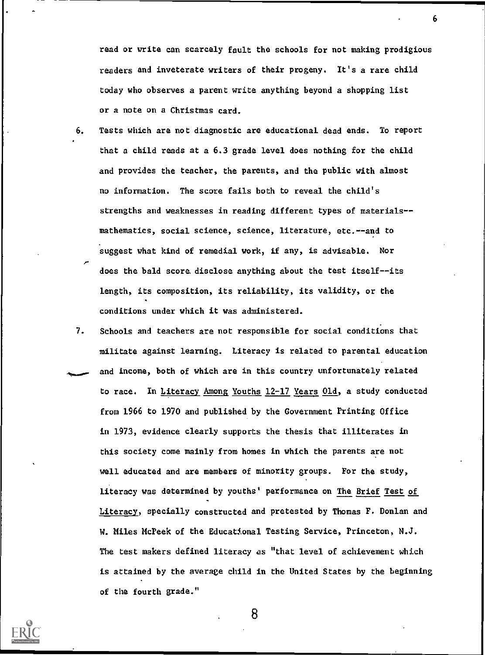read or write can scarcely fault the schools for not making prodigious readers and inveterate writers of their progeny. It's a rare child today who observes a parent write anything beyond a shopping list or a note on a Christmas card.

- 6. Tests which are not diagnostic are educational dead ends. To report that a child reads at a 6.3 grade level does nothing for the child and provides the teacher, the parents, and the public with almost no information. The score fails both to reveal the child's strengths and weaknesses in reading different types of materials-mathematics, social science, science, literature, etc.--and to suggest what kind of remedial work, if any, is advisable. Nor does the bald score. disclose anything about the test itself--its length, its composition, its reliability, its validity, or the conditions under which it was administered.
- 7. Schools and teachers are not responsible for social conditions that militate against learning. Literacy is related to parental education and income, both of which are in this country unfortunately related to race. In Literacy Among Youths 12-17 Years Old, a study conducted from 1966 to 1970 and published by the Government Printing Office in 1973, evidence clearly supports the thesis that illiterates in this society come mainly from homes in which the parents are not well educated and are members of minority groups. For the study, literacy was determined by youths' performance on The Brief Test of Literacy, specially constructed and pretested by Thomas F. Donlan and W. Miles McPeek of the Educational Testing Service, Princeton, N.J. The test makers defined literacy as "that level of achievement which is attained by the average child in the United States by the beginning of the fourth grade."



8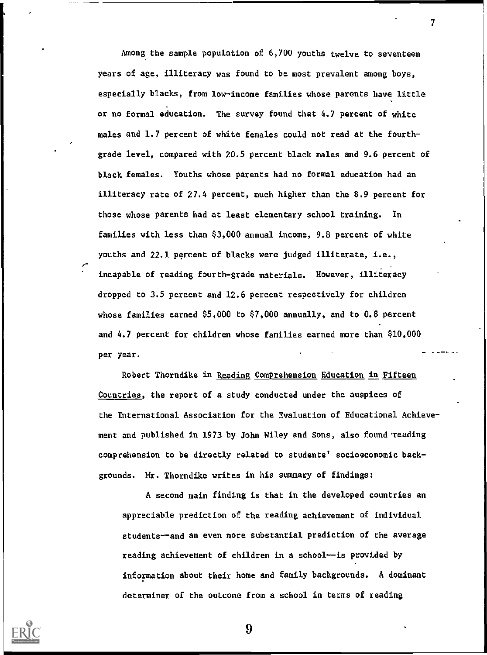Among the sample population of 6,700 youths twelve to seventeen years of age, illiteracy was found to be most prevalent among boys, especially blacks, from low-income families whose parents have little or no formal education. The survey found that 4.7 percent of white males and 1.7 percent of white females could not read at the fourthgrade level, compared with 20.5 percent black males and 9.6 percent of black females. Youths whose parents had no formal education had an illiteracy rate of 27.4 percent, much higher than the 8.9 percent for those whose parents had at least elementary school training. In families with less than \$3,000 annual income, 9.8 percent of white youths and 22.1 percent of blacks were judged illiterate, i.e., incapable of reading fourth-grade materials. However, illiteracy dropped to 3.5 percent and 12.6 percent respectively for children whose families earned \$5,000 to \$7,000 annually, and to 0.8 percent and 4.7 percent for children whose families earned more than \$10,000 per year. - 2006a

 $\mathcal{T}$  and  $\mathcal{T}$ 

Robert Thorndike in Reading Comprehension Education in Fifteen Countries, the report of a study conducted under the auspices of the International Association for the Evaluation of Educational Achievement and published in 1973 by John Wiley and Sons, also found reading comprehension to be directly related to students' socioeconomic backgrounds. Mr. Thorndike writes in his summary of findings:

A second main finding is that in the developed countries an appreciable prediction of the reading achievement of individual students--and an even more substantial prediction of the average reading achievement of children in a school--is provided by information about their home and family backgrounds. A dominant determiner of the outcome from a school in terms of reading

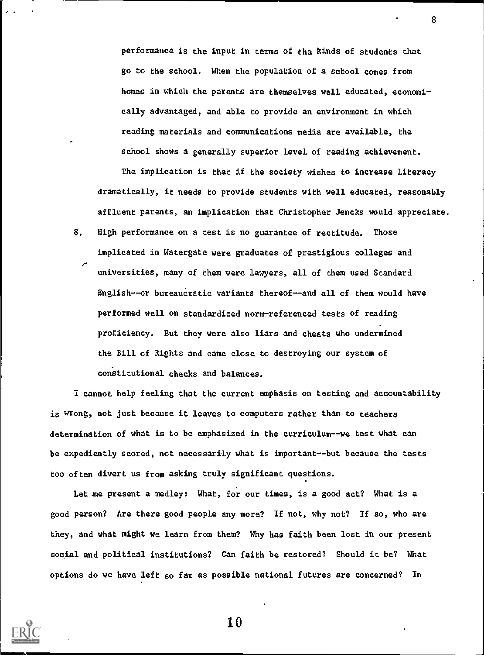performance is the input in terms of the kinds of students that go to the school. When the population of a school comes from homes in which the parents are themselves wall educated, economically advantaged, and able to provide an environment in which reading materials and communications media are available, the school shows a generally superior level of reading achievement.

The implication is that if the society wishes to increase literacy dramatically, it needs to provide students with well educated, reasonably affluent parents, an implication that Christopher Jencks would appreciate.

8. High performance on a test is no guarantee of rectitude. Those implicated in Watergate were graduates of prestigious colleges and r universities, many of them were lawyers, all of them used Standard English--or bureaucratic variants thereof--and all of them would have performed well on standardized norm-referenced tests of reading proficiency. But they were also liars and cheats who undermined the Bill of Rights and came close to destroying our system of constitutional checks and balances.

I cannot help feeling that the current emphasis on testing and accountability is wrong, not just because it leaves to computers rather than to teachers determination of what is to be emphasized in the curriculum--we test what can be expediently scored, not necessarily what is important--but because the tests too often divert us from asking truly significant questions.

Let me present a medley: What, for our times, is a good act? What is a good person? Are there good people any more? If not, why not? If so, who are they, and what might we learn from them? Why has faith been lost in our present social and political institutions? Can faith be restored? Should it be? What options do we have left so far as possible national futures are concerned? In



<sup>v</sup> . .

10